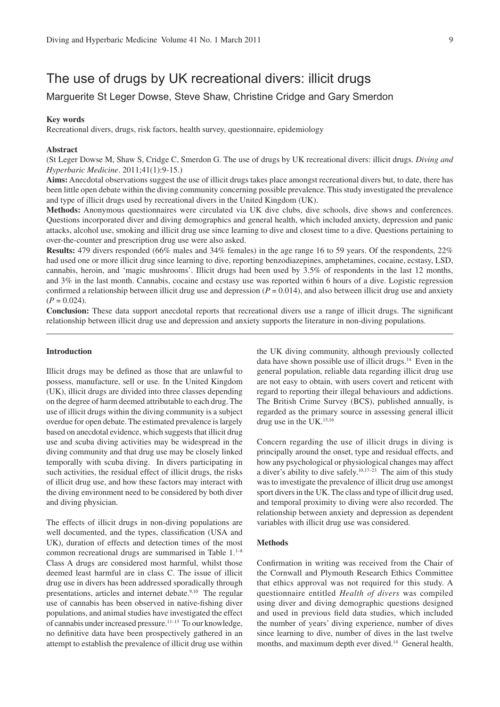# The use of drugs by UK recreational divers: illicit drugs

# Marquerite St Leger Dowse, Steve Shaw, Christine Cridge and Gary Smerdon

#### **Key words**

Recreational divers, drugs, risk factors, health survey, questionnaire, epidemiology

#### Abstract

(St Leger Dowse M, Shaw S, Cridge C, Smerdon G. The use of drugs by UK recreational divers: illicit drugs. Diving and Hyperbaric Medicine. 2011;41(1):9-15.)

Aims: Anecdotal observations suggest the use of illicit drugs takes place amongst recreational divers but, to date, there has been little open debate within the diving community concerning possible prevalence. This study investigated the prevalence and type of illicit drugs used by recreational divers in the United Kingdom (UK).

Methods: Anonymous questionnaires were circulated via UK dive clubs, dive schools, dive shows and conferences. Questions incorporated diver and diving demographics and general health, which included anxiety, depression and panic attacks, alcohol use, smoking and illicit drug use since learning to dive and closest time to a dive. Questions pertaining to over-the-counter and prescription drug use were also asked.

Results: 479 divers responded (66% males and 34% females) in the age range 16 to 59 years. Of the respondents, 22% had used one or more illicit drug since learning to dive, reporting benzodiazepines, amphetamines, cocaine, ecstasy, LSD, cannabis, heroin, and 'magic mushrooms'. Illicit drugs had been used by 3.5% of respondents in the last 12 months, and 3% in the last month. Cannabis, cocaine and ecstasy use was reported within 6 hours of a dive. Logistic regression confirmed a relationship between illicit drug use and depression ( $P = 0.014$ ), and also between illicit drug use and anxiety  $(P = 0.024)$ .

**Conclusion:** These data support anecdotal reports that recreational divers use a range of illicit drugs. The significant relationship between illicit drug use and depression and anxiety supports the literature in non-diving populations.

#### **Introduction**

Illicit drugs may be defined as those that are unlawful to possess, manufacture, sell or use. In the United Kingdom (UK), illicit drugs are divided into three classes depending on the degree of harm deemed attributable to each drug. The use of illicit drugs within the diving community is a subject overdue for open debate. The estimated prevalence is largely based on anecdotal evidence, which suggests that illicit drug use and scuba diving activities may be widespread in the diving community and that drug use may be closely linked temporally with scuba diving. In divers participating in such activities, the residual effect of illicit drugs, the risks of illicit drug use, and how these factors may interact with the diving environment need to be considered by both diver and diving physician.

The effects of illicit drugs in non-diving populations are well documented, and the types, classification (USA and UK), duration of effects and detection times of the most common recreational drugs are summarised in Table 1.<sup>1-8</sup> Class A drugs are considered most harmful, whilst those deemed least harmful are in class C. The issue of illicit drug use in divers has been addressed sporadically through presentations, articles and internet debate.<sup>9,10</sup> The regular use of cannabis has been observed in native-fishing diver populations, and animal studies have investigated the effect of cannabis under increased pressure.<sup>11-13</sup> To our knowledge, no definitive data have been prospectively gathered in an attempt to establish the prevalence of illicit drug use within the UK diving community, although previously collected data have shown possible use of illicit drugs.<sup>14</sup> Even in the general population, reliable data regarding illicit drug use are not easy to obtain, with users covert and reticent with regard to reporting their illegal behaviours and addictions. The British Crime Survey (BCS), published annually, is regarded as the primary source in assessing general illicit drug use in the UK. $15,16$ 

Concern regarding the use of illicit drugs in diving is principally around the onset, type and residual effects, and how any psychological or physiological changes may affect a diver's ability to dive safely.<sup>10,17-23</sup> The aim of this study was to investigate the prevalence of illicit drug use amongst sport divers in the UK. The class and type of illicit drug used. and temporal proximity to diving were also recorded. The relationship between anxiety and depression as dependent variables with illicit drug use was considered.

#### **Methods**

Confirmation in writing was received from the Chair of the Cornwall and Plymouth Research Ethics Committee that ethics approval was not required for this study. A questionnaire entitled Health of divers was compiled using diver and diving demographic questions designed and used in previous field data studies, which included the number of years' diving experience, number of dives since learning to dive, number of dives in the last twelve months, and maximum depth ever dived.<sup>14</sup> General health,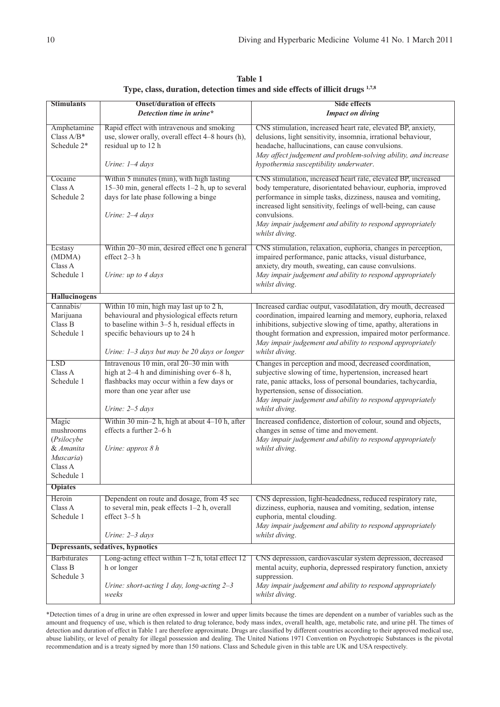**Table 1 Type, class, duration, detection times and side effects of illicit drugs** <sup>1,7,8</sup>

| <b>Stimulants</b>                 | <b>Onset/duration of effects</b>                                                              | <b>Side effects</b>                                                                                                              |  |  |  |
|-----------------------------------|-----------------------------------------------------------------------------------------------|----------------------------------------------------------------------------------------------------------------------------------|--|--|--|
|                                   | Detection time in urine*                                                                      | <b>Impact on diving</b>                                                                                                          |  |  |  |
| Amphetamine                       | Rapid effect with intravenous and smoking                                                     | CNS stimulation, increased heart rate, elevated BP, anxiety,                                                                     |  |  |  |
| Class $A/B^*$                     | use, slower orally, overall effect 4-8 hours (h),                                             | delusions, light sensitivity, insomnia, irrational behaviour,                                                                    |  |  |  |
| Schedule 2*                       | residual up to 12 h                                                                           | headache, hallucinations, can cause convulsions.                                                                                 |  |  |  |
|                                   |                                                                                               | May affect judgement and problem-solving ability, and increase                                                                   |  |  |  |
|                                   | Urine: $1-4$ days                                                                             | hypothermia susceptibility underwater.                                                                                           |  |  |  |
| Cocaine                           | Within 5 minutes (min), with high lasting                                                     | CNS stimulation, increased heart rate, elevated BP, increased                                                                    |  |  |  |
| Class A<br>Schedule 2             | 15-30 min, general effects 1-2 h, up to several<br>days for late phase following a binge      | body temperature, disorientated behaviour, euphoria, improved<br>performance in simple tasks, dizziness, nausea and vomiting,    |  |  |  |
|                                   | Urine: 2-4 days                                                                               | increased light sensitivity, feelings of well-being, can cause<br>convulsions.                                                   |  |  |  |
|                                   |                                                                                               | May impair judgement and ability to respond appropriately<br>whilst diving.                                                      |  |  |  |
| Ecstasy                           | Within 20–30 min, desired effect one h general                                                | CNS stimulation, relaxation, euphoria, changes in perception,                                                                    |  |  |  |
| (MDMA)                            | effect 2-3 h                                                                                  | impaired performance, panic attacks, visual disturbance,                                                                         |  |  |  |
| Class A<br>Schedule 1             |                                                                                               | anxiety, dry mouth, sweating, can cause convulsions.                                                                             |  |  |  |
|                                   | Urine: up to 4 days                                                                           | May impair judgement and ability to respond appropriately<br>whilst diving.                                                      |  |  |  |
| <b>Hallucinogens</b>              |                                                                                               |                                                                                                                                  |  |  |  |
| Cannabis/                         | Within 10 min, high may last up to 2 h,                                                       | Increased cardiac output, vasodilatation, dry mouth, decreased                                                                   |  |  |  |
| Marijuana<br>Class B              | behavioural and physiological effects return<br>to baseline within 3-5 h, residual effects in | coordination, impaired learning and memory, euphoria, relaxed<br>inhibitions, subjective slowing of time, apathy, alterations in |  |  |  |
| Schedule 1                        | specific behaviours up to 24 h                                                                | thought formation and expression, impaired motor performance.                                                                    |  |  |  |
|                                   |                                                                                               | May impair judgement and ability to respond appropriately                                                                        |  |  |  |
|                                   | Urine: 1-3 days but may be 20 days or longer                                                  | whilst diving.                                                                                                                   |  |  |  |
| <b>LSD</b>                        | Intravenous 10 min, oral 20–30 min with                                                       | Changes in perception and mood, decreased coordination,                                                                          |  |  |  |
| Class A<br>Schedule 1             | high at 2-4 h and diminishing over 6-8 h,<br>flashbacks may occur within a few days or        | subjective slowing of time, hypertension, increased heart<br>rate, panic attacks, loss of personal boundaries, tachycardia,      |  |  |  |
|                                   | more than one year after use                                                                  | hypertension, sense of dissociation.                                                                                             |  |  |  |
|                                   |                                                                                               | May impair judgement and ability to respond appropriately                                                                        |  |  |  |
|                                   | Urine: $2-5$ days                                                                             | whilst diving.                                                                                                                   |  |  |  |
| Magic                             | Within 30 min-2 h, high at about $4-10$ h, after                                              | Increased confidence, distortion of colour, sound and objects,                                                                   |  |  |  |
| mushrooms<br>(Psilocybe           | effects a further 2–6 h                                                                       | changes in sense of time and movement.<br>May impair judgement and ability to respond appropriately                              |  |  |  |
| & Amanita                         | Urine: approx $8 h$                                                                           | whilst diving.                                                                                                                   |  |  |  |
| Muscaria)                         |                                                                                               |                                                                                                                                  |  |  |  |
| Class A                           |                                                                                               |                                                                                                                                  |  |  |  |
| Schedule 1                        |                                                                                               |                                                                                                                                  |  |  |  |
| <b>Opiates</b>                    |                                                                                               |                                                                                                                                  |  |  |  |
| Heroin<br>Class A                 | Dependent on route and dosage, from 45 sec<br>to several min, peak effects 1-2 h, overall     | CNS depression, light-headedness, reduced respiratory rate,<br>dizziness, euphoria, nausea and vomiting, sedation, intense       |  |  |  |
| Schedule 1                        | effect 3-5 h                                                                                  | euphoria, mental clouding.                                                                                                       |  |  |  |
|                                   |                                                                                               | May impair judgement and ability to respond appropriately                                                                        |  |  |  |
|                                   | Urine: 2-3 days                                                                               | whilst diving.                                                                                                                   |  |  |  |
| Depressants, sedatives, hypnotics |                                                                                               |                                                                                                                                  |  |  |  |
| <b>Barbiturates</b>               | Long-acting effect within $1-2$ h, total effect $12$                                          | CNS depression, cardiovascular system depression, decreased                                                                      |  |  |  |
| Class B<br>Schedule 3             | h or longer                                                                                   | mental acuity, euphoria, depressed respiratory function, anxiety<br>suppression.                                                 |  |  |  |
|                                   | Urine: short-acting 1 day, long-acting $2-3$                                                  | May impair judgement and ability to respond appropriately                                                                        |  |  |  |
|                                   | weeks                                                                                         | whilst diving.                                                                                                                   |  |  |  |
|                                   |                                                                                               |                                                                                                                                  |  |  |  |

\*Detection times of a drug in urine are often expressed in lower and upper limits because the times are dependent on a number of variables such as the amount and frequency of use, which is then related to drug tolerance, body mass index, overall health, age, metabolic rate, and urine pH. The times of detection and duration of effect in Table 1 are therefore approximate. Drugs are classified by different countries according to their approved medical use, abuse liability, or level of penalty for illegal possession and dealing. The United Nations 1971 Convention on Psychotropic Substances is the pivotal recommendation and is a treaty signed by more than 150 nations. Class and Schedule given in this table are UK and USA respectively.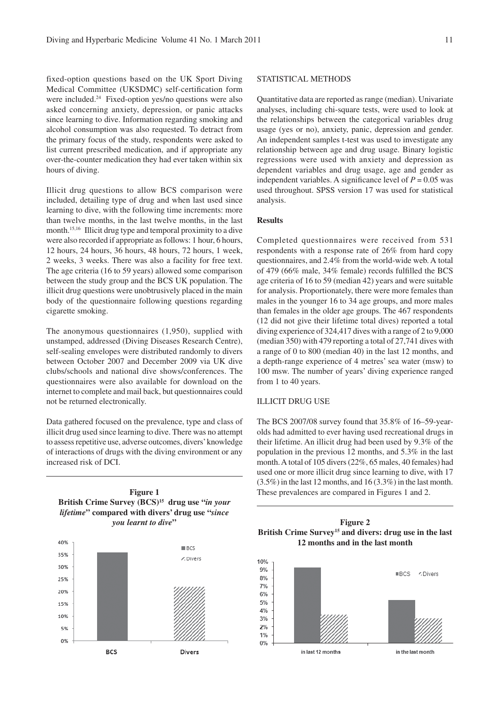fixed-option questions based on the UK Sport Diving Medical Committee (UKSDMC) self-certification form were included.<sup>24</sup> Fixed-option yes/no questions were also asked concerning anxiety, depression, or panic attacks since learning to dive. Information regarding smoking and alcohol consumption was also requested. To detract from the primary focus of the study, respondents were asked to list current prescribed medication, and if appropriate any over-the-counter medication they had ever taken within six hours of diving.

Illicit drug questions to allow BCS comparison were included, detailing type of drug and when last used since learning to dive, with the following time increments: more than twelve months, in the last twelve months, in the last month.<sup>15,16</sup> Illicit drug type and temporal proximity to a dive were also recorded if appropriate as follows: 1 hour, 6 hours, 12 hours, 24 hours, 36 hours, 48 hours, 72 hours, 1 week, 2 weeks, 3 weeks. There was also a facility for free text. The age criteria (16 to 59 years) allowed some comparison between the study group and the BCS UK population. The illicit drug questions were unobtrusively placed in the main body of the questionnaire following questions regarding cigarette smoking.

The anonymous questionnaires  $(1,950)$ , supplied with unstamped, addressed (Diving Diseases Research Centre), self-sealing envelopes were distributed randomly to divers between October 2007 and December 2009 via UK dive clubs/schools and national dive shows/conferences. The questionnaires were also available for download on the internet to complete and mail back, but questionnaires could not be returned electronically.

Data gathered focused on the prevalence, type and class of illicit drug used since learning to dive. There was no attempt to assess repetitive use, adverse outcomes, divers' knowledge of interactions of drugs with the diving environment or any increased risk of DCI.

# **Figure 1** British Crime Survey (BCS)<sup>15</sup> drug use "in your lifetime" compared with divers' drug use "since you learnt to dive"



# STATISTICAL METHODS

Quantitative data are reported as range (median). Univariate analyses, including chi-square tests, were used to look at the relationships between the categorical variables drug usage (yes or no), anxiety, panic, depression and gender. An independent samples t-test was used to investigate any relationship between age and drug usage. Binary logistic regressions were used with anxiety and depression as dependent variables and drug usage, age and gender as independent variables. A significance level of  $P = 0.05$  was used throughout. SPSS version 17 was used for statistical analysis.

#### **Results**

Completed questionnaires were received from 531 respondents with a response rate of 26% from hard copy questionnaires, and 2.4% from the world-wide web. A total of 479 (66% male, 34% female) records fulfilled the BCS age criteria of 16 to 59 (median 42) years and were suitable for analysis. Proportionately, there were more females than males in the younger 16 to 34 age groups, and more males than females in the older age groups. The 467 respondents (12 did not give their lifetime total dives) reported a total diving experience of  $324,417$  dives with a range of 2 to 9,000 (median 350) with 479 reporting a total of 27,741 dives with a range of 0 to 800 (median 40) in the last 12 months, and a depth-range experience of 4 metres' sea water (msw) to 100 msw. The number of years' diving experience ranged from 1 to 40 years.

#### **ILLICIT DRUG USE**

The BCS 2007/08 survey found that 35.8% of 16–59-yearolds had admitted to ever having used recreational drugs in their lifetime. An illicit drug had been used by 9.3% of the population in the previous 12 months, and  $5.3\%$  in the last month. A total of 105 divers (22%, 65 males, 40 females) had used one or more illicit drug since learning to dive, with 17  $(3.5\%)$  in the last 12 months, and 16 (3.3%) in the last month. These prevalences are compared in Figures 1 and 2.

# **Figure 2** British Crime Survey<sup>15</sup> and divers: drug use in the last 12 months and in the last month

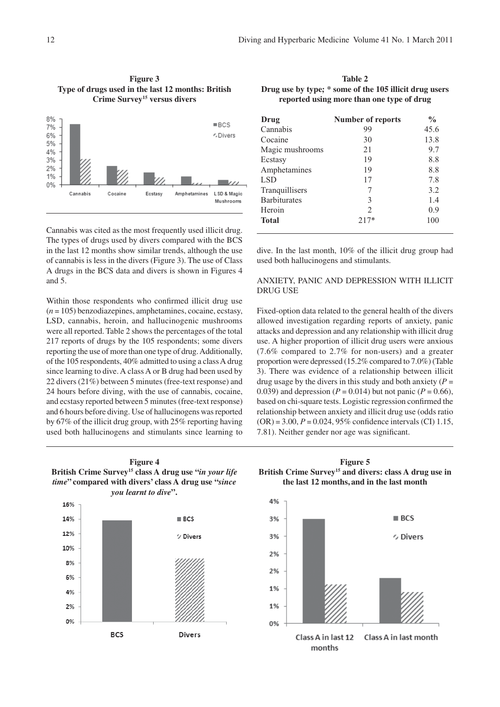Figure 3 Type of drugs used in the last 12 months: British Crime Survey<sup>15</sup> versus divers



Cannabis was cited as the most frequently used illicit drug. The types of drugs used by divers compared with the BCS in the last 12 months show similar trends, although the use of cannabis is less in the divers (Figure 3). The use of Class A drugs in the BCS data and divers is shown in Figures 4 and 5.

Within those respondents who confirmed illicit drug use  $(n = 105)$  benzodiazeoines, amphetamines, cocaine, ecstasy. LSD, cannabis, heroin, and hallucinogenic mushrooms were all reported. Table 2 shows the percentages of the total 217 reports of drugs by the 105 respondents; some divers reporting the use of more than one type of drug. Additionally, of the 105 respondents, 40% admitted to using a class A drug since learning to dive. A class A or B drug had been used by 22 divers (21%) between 5 minutes (free-text response) and 24 hours before diving, with the use of cannabis, cocaine, and ecstasy reported between 5 minutes (free-text response) and 6 hours before diving. Use of hallucinogens was reported by 67% of the illicit drug group, with  $25\%$  reporting having used both hallucinogens and stimulants since learning to

Table 2 Drug use by type; \* some of the 105 illicit drug users reported using more than one type of drug

| Drug                | <b>Number of reports</b> | $\frac{0}{0}$ |  |
|---------------------|--------------------------|---------------|--|
| Cannabis            | 99                       | 45.6          |  |
| Cocaine             | 30                       | 13.8          |  |
| Magic mushrooms     | 21                       | 9.7           |  |
| Ecstasy             | 19                       | 8.8           |  |
| Amphetamines        | 19                       | 8.8           |  |
| <b>LSD</b>          | 17                       | 7.8           |  |
| Tranquillisers      |                          | 3.2           |  |
| <b>Barbiturates</b> | 3                        | 1.4           |  |
| Heroin              | $\mathcal{L}$            | 0.9           |  |
| <b>Total</b>        | $217*$                   | 100           |  |

dive. In the last month, 10% of the illicit drug group had used both hallucinogens and stimulants.

# ANXIETY. PANIC AND DEPRESSION WITH ILLICIT **DRUG USE**

Fixed-option data related to the general health of the divers allowed investigation regarding reports of anxiety, panic attacks and depression and any relationship with illicit drug use. A higher proportion of illicit drug users were anxious  $(7.6\%$  compared to 2.7% for non-users) and a greater proportion were depressed (15.2% compared to 7.0%) (Table 3). There was evidence of a relationship between illicit drug usage by the divers in this study and both anxiety ( $P =$ 0.039) and depression ( $P = 0.014$ ) but not panic ( $P = 0.66$ ), based on chi-square tests. Logistic regression confirmed the relationship between anxiety and illicit drug use (odds ratio  $(OR) = 3.00$ ,  $P = 0.024$ , 95% confidence intervals (CI) 1.15. 7.81). Neither gender nor age was significant.



**Divers** 

**BCS** 

4%

2% 0% **Figure 4** 

**Figure 5** British Crime Survey<sup>15</sup> and divers: class A drug use in the last 12 months, and in the last month

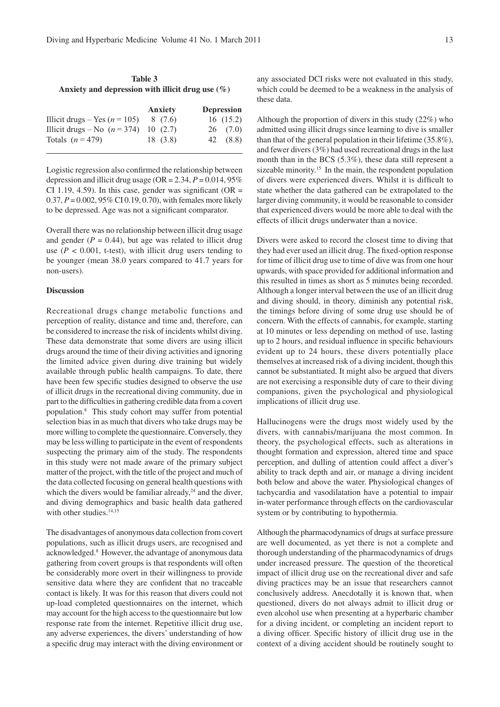| Table 3 |  |                                                     |  |  |  |  |  |
|---------|--|-----------------------------------------------------|--|--|--|--|--|
|         |  | Anxiety and depression with illicit drug use $(\%)$ |  |  |  |  |  |

|                                         | Anxiety | <b>Depression</b> |
|-----------------------------------------|---------|-------------------|
| Illicit drugs – Yes ( $n = 105$ )       | 8 (7.6) | 16(15.2)          |
| Illicit drugs – No $(n = 374)$ 10 (2.7) |         | $26$ $(7.0)$      |
| Totals $(n=479)$                        | 18(3.8) | 42 (8.8)          |

Logistic regression also confirmed the relationship between depression and illicit drug usage (OR = 2.34,  $P = 0.014, 95\%$ CI 1.19, 4.59). In this case, gender was significant (OR =  $0.37, P = 0.002, 95\% \text{ CI } 0.19, 0.70$ , with females more likely to be depressed. Age was not a significant comparator.

Overall there was no relationship between illicit drug usage and gender ( $P = 0.44$ ), but age was related to illicit drug use ( $P < 0.001$ , t-test), with illicit drug users tending to be younger (mean 38.0 years compared to 41.7 years for non-users).

# **Discussion**

Recreational drugs change metabolic functions and perception of reality, distance and time and, therefore, can be considered to increase the risk of incidents whilst diving. These data demonstrate that some divers are using illicit drugs around the time of their diving activities and ignoring the limited advice given during dive training but widely available through public health campaigns. To date, there have been few specific studies designed to observe the use of illicit drugs in the recreational diving community, due in part to the difficulties in gathering credible data from a covert population.<sup>8</sup> This study cohort may suffer from potential selection bias in as much that divers who take drugs may be more willing to complete the questionnaire. Conversely, they may be less willing to participate in the event of respondents suspecting the primary aim of the study. The respondents in this study were not made aware of the primary subject matter of the project, with the title of the project and much of the data collected focusing on general health questions with which the divers would be familiar already.<sup>24</sup> and the diver. and diving demographics and basic health data gathered with other studies.<sup>14,15</sup>

The disadvantages of anonymous data collection from covert populations, such as illicit drugs users, are recognised and acknowledged.<sup>8</sup> However, the advantage of anonymous data gathering from covert groups is that respondents will often be considerably more overt in their willingness to provide sensitive data where they are confident that no traceable contact is likely. It was for this reason that divers could not up-load completed questionnaires on the internet, which may account for the high access to the questionnaire but low response rate from the internet. Repetitive illicit drug use, any adverse experiences, the divers' understanding of how a specific drug may interact with the diving environment or any associated DCI risks were not evaluated in this study, which could be deemed to be a weakness in the analysis of these data.

Although the proportion of divers in this study  $(22\%)$  who admitted using illicit drugs since learning to dive is smaller than that of the general population in their lifetime  $(35.8\%),$ and fewer divers  $(3\%)$  had used recreational drugs in the last month than in the BCS  $(5.3\%)$ , these data still represent a sizeable minority.<sup>15</sup> In the main, the respondent population of divers were experienced divers. Whilst it is difficult to state whether the data gathered can be extrapolated to the larger diving community, it would be reasonable to consider that experienced divers would be more able to deal with the effects of illicit drugs underwater than a novice.

Divers were asked to record the closest time to diving that they had ever used an illicit drug. The fixed-option response for time of illicit drug use to time of dive was from one hour upwards, with space provided for additional information and this resulted in times as short as 5 minutes being recorded. Although a longer interval between the use of an illicit drug and diving should, in theory, diminish any potential risk, the timings before diving of some drug use should be of concern. With the effects of cannabis, for example, starting at 10 minutes or less depending on method of use, lasting up to 2 hours, and residual influence in specific behaviours evident up to 24 hours, these divers potentially place themselves at increased risk of a diving incident, though this cannot be substantiated. It might also be argued that divers are not exercising a responsible duty of care to their diving companions, given the psychological and physiological implications of illicit drug use.

Hallucinogens were the drugs most widely used by the divers, with cannabis/marijuana the most common. In theory, the psychological effects, such as alterations in thought formation and expression, altered time and space perception, and dulling of attention could affect a diver's ability to track depth and air, or manage a diving incident both below and above the water. Physiological changes of tachycardia and vasodilatation have a potential to impair in-water performance through effects on the cardiovascular system or by contributing to hypothermia.

Although the pharmacodynamics of drugs at surface pressure are well documented, as yet there is not a complete and thorough understanding of the pharmacodynamics of drugs under increased pressure. The question of the theoretical impact of illicit drug use on the recreational diver and safe diving practices may be an issue that researchers cannot conclusively address. Anecdotally it is known that, when questioned, divers do not always admit to illicit drug or even alcohol use when presenting at a hyperbaric chamber for a diving incident, or completing an incident report to a diving officer. Specific history of illicit drug use in the context of a diving accident should be routinely sought to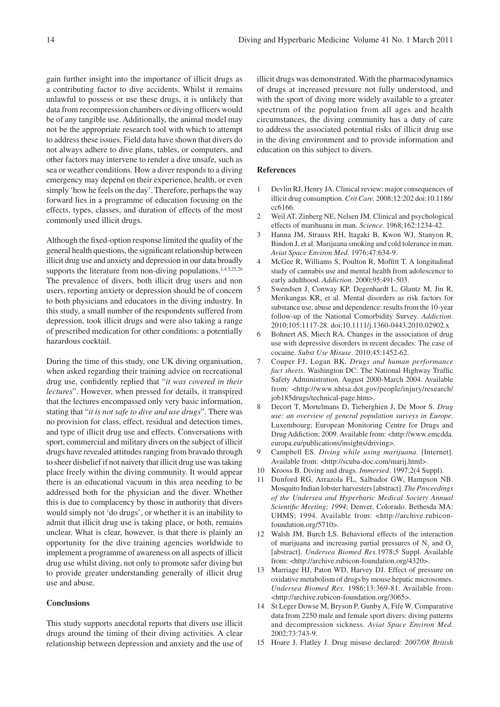gain further insight into the importance of illicit drugs as a contributing factor to dive accidents. Whilst it remains unlawful to possess or use these drugs, it is unlikely that data from recompression chambers or diving officers would be of any tangible use. Additionally, the animal model may not be the appropriate research tool with which to attempt to address these issues. Field data have shown that divers do not always adhere to dive plans, tables, or computers, and other factors may intervene to render a dive unsafe, such as sea or weather conditions. How a diver responds to a diving emergency may depend on their experience, health, or even simply 'how he feels on the day'. Therefore, perhaps the way forward lies in a programme of education focusing on the effects, types, classes, and duration of effects of the most commonly used illicit drugs.

Although the fixed-option response limited the quality of the general health questions, the significant relationship between illicit drug use and anxiety and depression in our data broadly supports the literature from non-diving populations.<sup>1,4,5,25,26</sup> The prevalence of divers, both illicit drug users and non users, reporting anxiety or depression should be of concern to both physicians and educators in the diving industry. In this study, a small number of the respondents suffered from depression, took illicit drugs and were also taking a range of prescribed medication for other conditions: a potentially hazardous cocktail.

During the time of this study, one UK diving organisation, when asked regarding their training advice on recreational drug use, confidently replied that "it was covered in their lectures". However, when pressed for details, it transpired that the lectures encompassed only very basic information, stating that "it is not safe to dive and use drugs". There was no provision for class, effect, residual and detection times, and type of illicit drug use and effects. Conversations with sport, commercial and military divers on the subject of illicit drugs have revealed attitudes ranging from bravado through to sheer disbelief if not naivety that illicit drug use was taking place freely within the diving community. It would appear there is an educational vacuum in this area needing to be addressed both for the physician and the diver. Whether this is due to complacency by those in authority that divers would simply not 'do drugs', or whether it is an inability to admit that illicit drug use is taking place, or both, remains unclear. What is clear, however, is that there is plainly an opportunity for the dive training agencies worldwide to implement a programme of awareness on all aspects of illicit drug use whilst diving, not only to promote safer diving but to provide greater understanding generally of illicit drug use and abuse.

### **Conclusions**

This study supports anecdotal reports that divers use illicit drugs around the timing of their diving activities. A clear relationship between depression and anxiety and the use of

illicit drugs was demonstrated. With the pharmacodynamics of drugs at increased pressure not fully understood, and with the sport of diving more widely available to a greater spectrum of the population from all ages and health circumstances, the diving community has a duty of care to address the associated potential risks of illicit drug use in the diving environment and to provide information and education on this subject to divers.

#### **References**

- $\mathbf{1}$ Devlin RJ, Henry JA. Clinical review: major consequences of illicit drug consumption. Crit Care. 2008;12:202 doi:10.1186/ cc6166.
- $\overline{2}$ Weil AT, Zinberg NE, Nelsen JM. Clinical and psychological effects of marihuana in man. Science. 1968;162:1234-42.
- 3 Hanna JM, Strauss RH, Itagaki B, Kwon WJ, Stanyon R, Bindon J, et al. Marijuana smoking and cold tolerance in man. Aviat Space Environ Med. 1976;47:634-9.
- $\overline{4}$ McGee R, Williams S, Poulton R, Moffitt T. A longitudinal study of cannabis use and mental health from adolescence to early adulthood. Addiction. 2000;95:491-503.
- $\sqrt{5}$ Swendsen J, Conway KP, Degenhardt L, Glantz M, Jin R, Merikangas KR, et al. Mental disorders as risk factors for substance use, abuse and dependence: results from the 10-year follow-up of the National Comorbidity Survey. Addiction. 2010;105:1117-28. doi:10.1111/j.1360-0443.2010.02902.x
- 6 Bohnert AS, Miech RA. Changes in the association of drug use with depressive disorders in recent decades: The case of cocaine. Subst Use Misuse. 2010;45:1452-62.
- $\overline{7}$ Couper FJ, Logan BK. Drugs and human performance fact sheets. Washington DC: The National Highway Traffic Safety Administration. August 2000-March 2004. Available from: <http://www.nhtsa.dot.gov/people/injury/research/ job185drugs/technical-page.htm>.
- 8 Decort T, Mortelmans D, Tieberghien J, De Moor S. Drug use: an overview of general population surveys in Europe. Luxembourg; European Monitoring Centre for Drugs and Drug Addiction; 2009. Available from: <http://www.emcdda. europa.eu/publications/insights/driving>.
- 9 Campbell ES. Diving while using marijuana. [Internet]. Available from: <http://scuba-doc.com/marij.html>.
- 10 Krooss B. Diving and drugs. *Immersed*. 1997;2(4 Suppl).
- 11 Dunford RG, Arrazola FL, Salbador GW, Hampson NB. Mosquito Indian lobster harvesters [abstract]. The Proceedings of the Undersea and Hyperbaric Medical Society Annual Scientific Meeting; 1994; Denver, Colorado. Bethesda MA: UHMS; 1994. Available from: <http://archive.rubiconfoundation.org/5710>.
- 12 Walsh JM, Burch LS. Behavioral effects of the interaction of marijuana and increasing partial pressures of  $N<sub>2</sub>$  and  $O<sub>2</sub>$ [abstract]. Undersea Biomed Res.1978;5 Suppl. Available from: <http://archive.rubicon-foundation.org/4320>.
- Marriage HJ, Paton WD, Harvey DJ. Effect of pressure on 13 oxidative metabolism of drugs by mouse hepatic microsomes. Undersea Biomed Res. 1986;13:369-81. Available from: <http://archive.rubicon-foundation.org/3065>.
- 14 St Leger Dowse M, Bryson P, Gunby A, Fife W. Comparative data from 2250 male and female sport divers: diving patterns and decompression sickness. Aviat Space Environ Med.  $2002:73:743-9$
- 15 Hoare J, Flatley J. Drug misuse declared: 2007/08 British